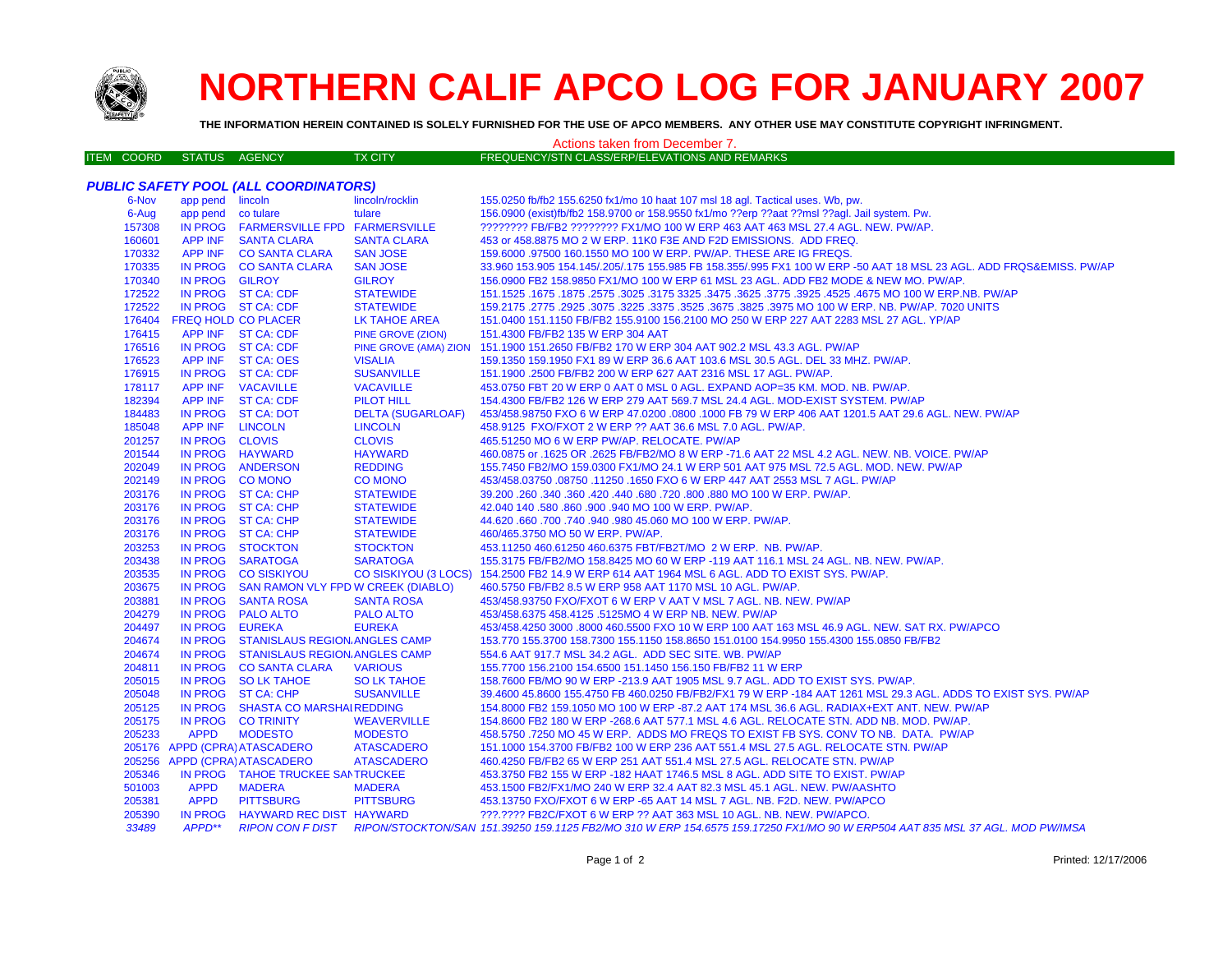

## **NORTHERN CALIF APCO LOG FOR JANUARY 2007**

**THE INFORMATION HEREIN CONTAINED IS SOLELY FURNISHED FOR THE USE OF APCO MEMBERS. ANY OTHER USE MAY CONSTITUTE COPYRIGHT INFRINGMENT.**

## Actions taken from December 7.

| <b>ITEM COORD</b> | STATUS AGENCY |  | <b>TX CITY</b> | FREQUENCY/STN CLASS/ERP/ELEVATIONS AND REMARKS |
|-------------------|---------------|--|----------------|------------------------------------------------|
|-------------------|---------------|--|----------------|------------------------------------------------|

|                  |                    | <b>PUBLIC SAFETY POOL (ALL COORDINATORS)</b>                     |                             |                                                                                                                                               |
|------------------|--------------------|------------------------------------------------------------------|-----------------------------|-----------------------------------------------------------------------------------------------------------------------------------------------|
| 6-Nov            | app pend lincoln   |                                                                  | lincoln/rocklin             | 155.0250 fb/fb2 155.6250 fx1/mo 10 haat 107 msl 18 agl. Tactical uses. Wb, pw.                                                                |
| 6-Aug            | app pend co tulare |                                                                  | tulare                      | 156.0900 (exist)fb/fb2 158.9700 or 158.9550 fx1/mo ??erp ??aat ??msl ??agl. Jail system. Pw.                                                  |
| 157308           |                    | IN PROG FARMERSVILLE FPD FARMERSVILLE                            |                             | ???????? FB/FB2 ???????? FX1/MO 100 W ERP 463 AAT 463 MSL 27.4 AGL. NEW. PW/AP.                                                               |
| 160601           |                    | APP INF SANTA CLARA                                              | <b>SANTA CLARA</b>          | 453 or 458.8875 MO 2 W ERP. 11K0 F3E AND F2D EMISSIONS. ADD FREQ.                                                                             |
| 170332           |                    | APP INF CO SANTA CLARA                                           | <b>SAN JOSE</b>             | 159,6000 .97500 160.1550 MO 100 W ERP. PW/AP. THESE ARE IG FREQS.                                                                             |
| 170335           |                    | IN PROG CO SANTA CLARA                                           | <b>SAN JOSE</b>             | 33.960 153.905 154.145/.205/.175 155.985 FB 158.355/.995 FX1 100 W ERP -50 AAT 18 MSL 23 AGL. ADD FRQS&EMISS. PW/AP                           |
| 170340           | IN PROG GILROY     |                                                                  | <b>GILROY</b>               | 156.0900 FB2 158.9850 FX1/MO 100 W ERP 61 MSL 23 AGL. ADD FB2 MODE & NEW MO. PW/AP.                                                           |
| 172522           |                    | IN PROG ST CA: CDF                                               | <b>STATEWIDE</b>            | 151.1525 .1675 MO 100 W ERP.NB. PW/AP .2575 .3025 .3175 3325 .3475 .3625 .3675 .3025 .1675 .1675 .1675 .1675 .                                |
| 172522           |                    | IN PROG ST CA: CDF                                               | <b>STATEWIDE</b>            | 159.2175 .2775 .2925 .3075 .3225 .3675 .3825 .3975 MO 100 W ERP. NB. PW/AP. 7020 UNITS                                                        |
| 176404           |                    | <b>FREQ HOLD CO PLACER</b>                                       | LK TAHOE AREA               | 151.0400 151.1150 FB/FB2 155.9100 156.2100 MO 250 W ERP 227 AAT 2283 MSL 27 AGL. YP/AP                                                        |
| 176415           |                    | APP INF ST CA: CDF                                               | <b>PINE GROVE (ZION)</b>    | 151.4300 FB/FB2 135 W ERP 304 AAT                                                                                                             |
| 176516           |                    | IN PROG ST CA: CDF                                               |                             | PINE GROVE (AMA) ZION 151.1900 151.2650 FB/FB2 170 W ERP 304 AAT 902.2 MSL 43.3 AGL. PW/AP                                                    |
| 176523           |                    | APP INF ST CA: OES                                               | <b>VISALIA</b>              | 159.1350 159.1950 FX1 89 W ERP 36.6 AAT 103.6 MSL 30.5 AGL. DEL 33 MHZ. PW/AP.                                                                |
| 176915           |                    | IN PROG ST CA: CDF                                               | <b>SUSANVILLE</b>           | 151.1900 .2500 FB/FB2 200 W ERP 627 AAT 2316 MSL 17 AGL. PW/AP.                                                                               |
| 178117           |                    | APP INF VACAVILLE                                                | <b>VACAVILLE</b>            | 453.0750 FBT 20 W ERP 0 AAT 0 MSL 0 AGL. EXPAND AOP=35 KM. MOD. NB. PW/AP.                                                                    |
| 182394           |                    | APP INF ST CA: CDF                                               | <b>PILOT HILL</b>           | 154.4300 FB/FB2 126 W ERP 279 AAT 569.7 MSL 24.4 AGL. MOD-EXIST SYSTEM. PW/AP                                                                 |
| 184483           |                    | IN PROG ST CA: DOT                                               | <b>DELTA (SUGARLOAF)</b>    | 453/458.98750 FXO 6 W ERP 47.0200 .0800 .1000 FB 79 W ERP 406 AAT 1201.5 AAT 29.6 AGL. NEW. PW/AP                                             |
| 185048           | APP INF LINCOLN    |                                                                  | <b>LINCOLN</b>              | 458.9125 FXO/FXOT 2 W ERP ?? AAT 36.6 MSL 7.0 AGL. PW/AP.                                                                                     |
| 201257           | IN PROG CLOVIS     |                                                                  | <b>CLOVIS</b>               | 465.51250 MO 6 W ERP PW/AP. RELOCATE. PW/AP                                                                                                   |
| 201544           |                    | IN PROG HAYWARD                                                  | <b>HAYWARD</b>              | 460.0875 or .1625 OR .2625 FB/FB2/MO 8 W ERP -71.6 AAT 22 MSL 4.2 AGL. NEW. NB. VOICE. PW/AP                                                  |
| 202049           |                    | IN PROG ANDERSON                                                 | <b>REDDING</b>              | 155.7450 FB2/MO 159.0300 FX1/MO 24.1 W ERP 501 AAT 975 MSL 72.5 AGL. MOD. NEW. PW/AP                                                          |
| 202149           | IN PROG CO MONO    |                                                                  | <b>CO MONO</b>              | 453/458.03750 .08750 .11250 .1650 FXO 6 W ERP 447 AAT 2553 MSL 7 AGL. PW/AP                                                                   |
| 203176           |                    | IN PROG ST CA: CHP                                               | <b>STATEWIDE</b>            | 39.200 .260 .340 .360 .420 .440 .680 .720 .800 .880 MO 100 W ERP. PW/AP.                                                                      |
| 203176           |                    | IN PROG ST CA: CHP                                               | <b>STATEWIDE</b>            | 42.040 140 .580 .860 .900 .940 MO 100 W ERP. PW/AP.                                                                                           |
| 203176           |                    | IN PROG ST CA: CHP                                               | <b>STATEWIDE</b>            | 44.620 .660 .700 .740 .940 .980 45.060 MO 100 W ERP. PW/AP.                                                                                   |
| 203176           |                    | IN PROG ST CA: CHP                                               | <b>STATEWIDE</b>            | 460/465.3750 MO 50 W ERP. PW/AP.                                                                                                              |
| 203253<br>203438 |                    | IN PROG STOCKTON                                                 | <b>STOCKTON</b>             | 453.11250 460.61250 460.6375 FBT/FB2T/MO 2 W ERP. NB. PW/AP.                                                                                  |
|                  |                    | IN PROG SARATOGA                                                 | <b>SARATOGA</b>             | 155.3175 FB/FB2/MO 158.8425 MO 60 W ERP -119 AAT 116.1 MSL 24 AGL. NB. NEW. PW/AP.                                                            |
| 203535<br>203675 |                    | IN PROG CO SISKIYOU                                              | <b>CO SISKIYOU (3 LOCS)</b> | 154.2500 FB2 14.9 W ERP 614 AAT 1964 MSL 6 AGL. ADD TO EXIST SYS. PW/AP.                                                                      |
| 203881           |                    | IN PROG SAN RAMON VLY FPD W CREEK (DIABLO)<br>IN PROG SANTA ROSA | <b>SANTA ROSA</b>           | 460.5750 FB/FB2 8.5 W ERP 958 AAT 1170 MSL 10 AGL. PW/AP.<br>453/458.93750 FXO/FXOT 6 W ERP V AAT V MSL 7 AGL. NB. NEW. PW/AP                 |
| 204279           |                    | IN PROG PALO ALTO                                                | <b>PALO ALTO</b>            | 453/458.6375 458.4125 .5125MO 4 W ERP NB. NEW. PW/AP                                                                                          |
| 204497           | IN PROG EUREKA     |                                                                  | <b>EUREKA</b>               | 453/458.4250 3000 .8000 460.5500 FXO 10 W ERP 100 AAT 163 MSL 46.9 AGL. NEW. SAT RX. PW/APCO                                                  |
| 204674           |                    | IN PROG STANISLAUS REGION. ANGLES CAMP                           |                             | 153.770 155.3700 158.7300 155.1150 158.8650 151.0100 154.9950 155.4300 155.0850 FB/FB2                                                        |
| 204674           |                    | IN PROG STANISLAUS REGION. ANGLES CAMP                           |                             | 554.6 AAT 917.7 MSL 34.2 AGL. ADD SEC SITE. WB. PW/AP                                                                                         |
| 204811           |                    | IN PROG CO SANTA CLARA                                           | <b>VARIOUS</b>              | 155.7700 156.2100 154.6500 151.1450 156.150 FB/FB2 11 W ERP                                                                                   |
| 205015           |                    | IN PROG SO LK TAHOE                                              | <b>SO LK TAHOE</b>          | 158.7600 FB/MO 90 W ERP -213.9 AAT 1905 MSL 9.7 AGL. ADD TO EXIST SYS. PW/AP.                                                                 |
| 205048           |                    | IN PROG ST CA: CHP                                               | <b>SUSANVILLE</b>           | 39.4600 45.8600 155.4750 FB 460.0250 FB/FB2/FX1 79 W ERP -184 AAT 1261 MSL 29.3 AGL. ADDS TO EXIST SYS. PW/AP                                 |
| 205125           |                    | IN PROG SHASTA CO MARSHAI REDDING                                |                             | 154.8000 FB2 159.1050 MO 100 W ERP -87.2 AAT 174 MSL 36.6 AGL. RADIAX+EXT ANT. NEW. PW/AP                                                     |
| 205175           |                    | IN PROG CO TRINITY                                               | <b>WEAVERVILLE</b>          | 154.8600 FB2 180 W ERP -268.6 AAT 577.1 MSL 4.6 AGL. RELOCATE STN. ADD NB. MOD. PW/AP.                                                        |
| 205233           | <b>APPD</b>        | <b>MODESTO</b>                                                   | <b>MODESTO</b>              | 458.5750 .7250 MO 45 W ERP. ADDS MO FREQS TO EXIST FB SYS. CONV TO NB. DATA. PW/AP                                                            |
|                  |                    | 205176 APPD (CPRA) ATASCADERO                                    | <b>ATASCADERO</b>           | 151.1000 154.3700 FB/FB2 100 W ERP 236 AAT 551.4 MSL 27.5 AGL. RELOCATE STN. PW/AP                                                            |
|                  |                    | 205256 APPD (CPRA) ATASCADERO                                    | <b>ATASCADERO</b>           | 460.4250 FB/FB2 65 W ERP 251 AAT 551.4 MSL 27.5 AGL. RELOCATE STN. PW/AP                                                                      |
| 205346           |                    | IN PROG TAHOE TRUCKEE SAN TRUCKEE                                |                             | 453.3750 FB2 155 W ERP -182 HAAT 1746.5 MSL 8 AGL. ADD SITE TO EXIST. PW/AP                                                                   |
| 501003           | <b>APPD</b>        | <b>MADERA</b>                                                    | <b>MADERA</b>               | 453.1500 FB2/FX1/MO 240 W ERP 32.4 AAT 82.3 MSL 45.1 AGL. NEW. PW/AASHTO                                                                      |
| 205381           | <b>APPD</b>        | <b>PITTSBURG</b>                                                 | <b>PITTSBURG</b>            | 453.13750 FXO/FXOT 6 W ERP -65 AAT 14 MSL 7 AGL. NB. F2D. NEW. PW/APCO                                                                        |
| 205390           |                    | IN PROG HAYWARD REC DIST HAYWARD                                 |                             | ???.???? FB2C/FXOT 6 W ERP ?? AAT 363 MSL 10 AGL. NB. NEW. PW/APCO.                                                                           |
| 33489            | APPD**             |                                                                  |                             | RIPON CON F DIST RIPON/STOCKTON/SAN 151.39250 159.1125 FB2/MO 310 W ERP 154.6575 159.17250 FX1/MO 90 W ERP504 AAT 835 MSL 37 AGL. MOD PW/IMSA |